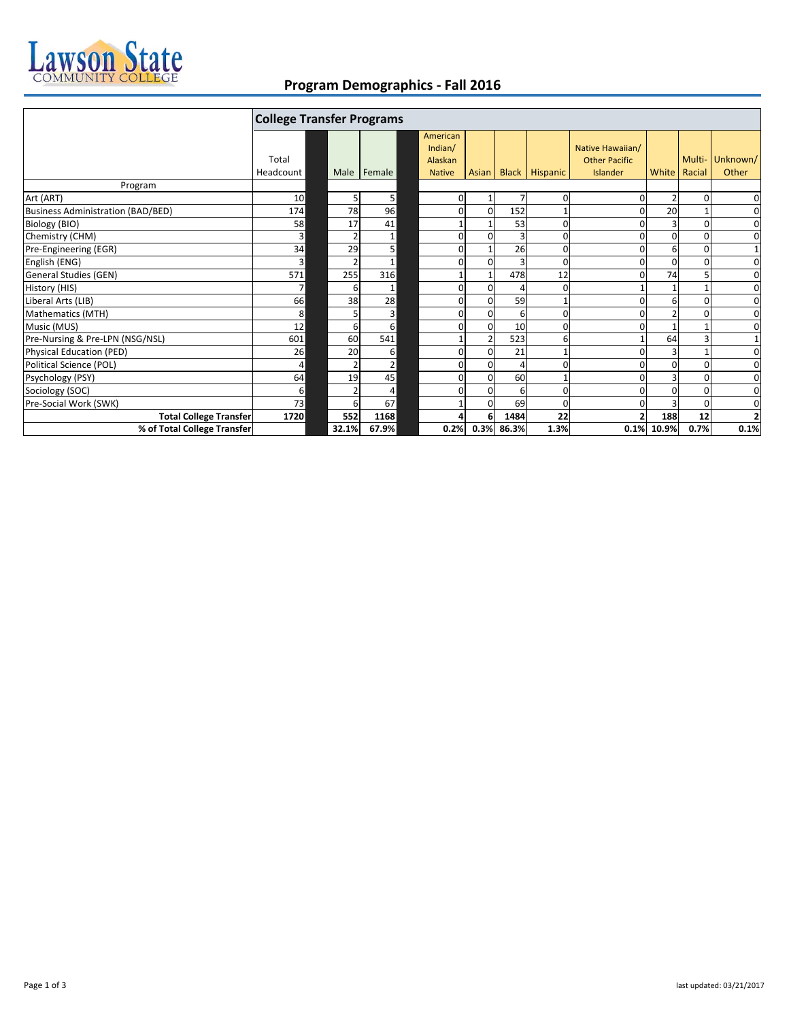

## **Program Demographics ‐ Fall 2016**

|                                          | <b>College Transfer Programs</b> |       |                |  |                                                 |          |                |                      |                                                      |       |                          |                   |
|------------------------------------------|----------------------------------|-------|----------------|--|-------------------------------------------------|----------|----------------|----------------------|------------------------------------------------------|-------|--------------------------|-------------------|
|                                          | Total<br>Headcount               | Male  | Female         |  | American<br>Indian/<br>Alaskan<br><b>Native</b> |          |                | Asian Black Hispanic | Native Hawaiian/<br><b>Other Pacific</b><br>Islander |       | Multi-<br>White   Racial | Unknown/<br>Other |
| Program                                  |                                  |       |                |  |                                                 |          |                |                      |                                                      |       |                          |                   |
| Art (ART)                                | 10                               | 5     | 5              |  | 0                                               |          | 7              | 0                    |                                                      |       | $\Omega$                 | 0                 |
| <b>Business Administration (BAD/BED)</b> | 174                              | 78    | 96             |  | 0                                               | 0        | 152            |                      |                                                      | 20    |                          | $\mathbf 0$       |
| Biology (BIO)                            | 58                               | 17    | 41             |  |                                                 |          | 53             | 0                    |                                                      |       |                          | $\mathbf 0$       |
| Chemistry (CHM)                          | $\overline{3}$                   |       |                |  | $\Omega$                                        | $\Omega$ | 3              | ŋ                    |                                                      | n     | $\Omega$                 | 0                 |
| Pre-Engineering (EGR)                    | 34                               | 29    | 5              |  | 0                                               |          | 26             | 0                    |                                                      | 6     | $\Omega$                 | 1                 |
| English (ENG)                            | $\overline{3}$                   |       |                |  | O                                               | $\Omega$ | 3              | ŋ                    |                                                      |       |                          | $\mathbf 0$       |
| General Studies (GEN)                    | 571                              | 255   | 316            |  |                                                 |          | 478            | 12                   |                                                      | 74    |                          | $\mathbf 0$       |
| History (HIS)                            | 7                                | 6     |                |  | $\Omega$                                        | $\Omega$ | $\Delta$       | ŋ                    |                                                      |       |                          | 0                 |
| Liberal Arts (LIB)                       | 66                               | 38    | 28             |  | $\mathbf{0}$                                    | $\Omega$ | 59             |                      |                                                      | 6     | 0                        | 0                 |
| Mathematics (MTH)                        | 8                                |       | 3              |  | $\mathbf{0}$                                    | $\Omega$ | 6              | 0                    |                                                      |       |                          | $\mathbf 0$       |
| Music (MUS)                              | 12                               | 6     | 6              |  |                                                 | $\Omega$ | 10             | ŋ                    |                                                      |       |                          | $\mathbf 0$       |
| Pre-Nursing & Pre-LPN (NSG/NSL)          | 601                              | 60    | 541            |  |                                                 |          | 523            | 6                    |                                                      | 64    |                          | $\mathbf{1}$      |
| Physical Education (PED)                 | 26                               | 20    | 6              |  | $\Omega$                                        | $\Omega$ | 21             |                      |                                                      |       |                          | $\mathbf 0$       |
| Political Science (POL)                  | 4                                |       | $\overline{2}$ |  | 0                                               | $\Omega$ | $\overline{4}$ | 0                    |                                                      | ŋ     | $\Omega$                 | 0                 |
| Psychology (PSY)                         | 64                               | 19    | 45             |  | 0                                               | $\Omega$ | 60             |                      |                                                      |       |                          | $\mathbf 0$       |
| Sociology (SOC)                          | 6                                |       | 4              |  | 0                                               | $\Omega$ | 6              | 0                    |                                                      |       |                          | 0                 |
| Pre-Social Work (SWK)                    | 73                               | 6     | 67             |  |                                                 | $\Omega$ | 69             | 0                    |                                                      | 3     | $\Omega$                 | $\mathbf 0$       |
| <b>Total College Transfer</b>            | 1720                             | 552   | 1168           |  |                                                 | 6        | 1484           | 22                   |                                                      | 188   | 12                       | $\overline{2}$    |
| % of Total College Transfer              |                                  | 32.1% | 67.9%          |  | 0.2%                                            | 0.3%     | 86.3%          | 1.3%                 | 0.1%                                                 | 10.9% | 0.7%                     | 0.1%              |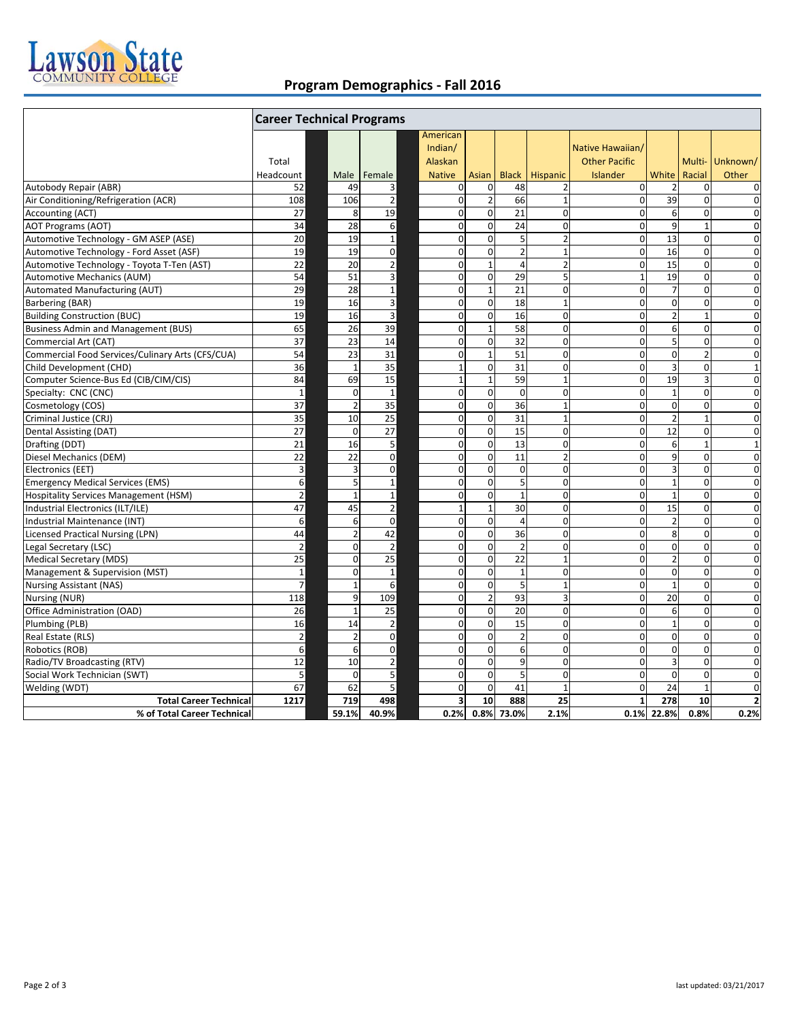

## **Program Demographics ‐ Fall 2016**

|                                                  | <b>Career Technical Programs</b> |                         |                         |                         |                |                |                         |                      |                 |                |                 |
|--------------------------------------------------|----------------------------------|-------------------------|-------------------------|-------------------------|----------------|----------------|-------------------------|----------------------|-----------------|----------------|-----------------|
|                                                  |                                  |                         |                         | American                |                |                |                         |                      |                 |                |                 |
|                                                  |                                  |                         |                         | Indian/                 |                |                |                         | Native Hawaiian/     |                 |                |                 |
|                                                  | Total                            |                         |                         | Alaskan                 |                |                |                         | <b>Other Pacific</b> |                 |                | Multi- Unknown/ |
|                                                  | Headcount                        | Male                    | Female                  | <b>Native</b>           | Asian          | <b>Black</b>   | Hispanic                | <b>Islander</b>      | White           | Racial         | Other           |
| Autobody Repair (ABR)                            | 52                               | 49                      | 3                       | $\mathbf 0$             | $\mathbf 0$    | 48             | $\overline{2}$          | $\Omega$             | $\overline{2}$  | $\Omega$       | $\mathbf 0$     |
| Air Conditioning/Refrigeration (ACR)             | 108                              | 106                     | $\overline{2}$          | $\mathbf 0$             | $\overline{2}$ | 66             | $\mathbf{1}$            | $\overline{0}$       | 39              | $\mathbf{0}$   | $\mathbf 0$     |
| Accounting (ACT)                                 | 27                               | 8                       | 19                      | $\mathbf 0$             | $\mathbf 0$    | 21             | $\mathbf 0$             | $\overline{0}$       | $6\overline{6}$ | $\Omega$       | $\mathbf 0$     |
| <b>AOT Programs (AOT)</b>                        | 34                               | 28                      | 6                       | $\mathbf 0$             | $\mathbf 0$    | 24             | $\mathbf 0$             | $\overline{0}$       | 9               | $\mathbf{1}$   | $\overline{0}$  |
| Automotive Technology - GM ASEP (ASE)            | 20                               | 19                      | $\mathbf 1$             | $\mathbf 0$             | $\mathbf 0$    | 5              | $\overline{\mathbf{c}}$ | $\overline{0}$       | 13              | $\mathbf 0$    | $\mathbf 0$     |
| Automotive Technology - Ford Asset (ASF)         | 19                               | 19                      | $\mathbf 0$             | $\mathbf 0$             | $\mathbf 0$    | $\overline{2}$ | $\mathbf{1}$            | $\Omega$             | 16              | $\Omega$       | $\mathbf 0$     |
| Automotive Technology - Toyota T-Ten (AST)       | 22                               | 20                      | $\mathbf{2}$            | $\pmb{0}$               | $1\,$          | $\overline{4}$ | $\overline{2}$          | $\mathbf{0}$         | 15              | $\mathbf 0$    | $\mathbf 0$     |
| <b>Automotive Mechanics (AUM)</b>                | 54                               | 51                      | 3                       | $\mathbf 0$             | $\mathbf 0$    | 29             | $\overline{5}$          | $\mathbf{1}$         | 19              | $\Omega$       | $\overline{0}$  |
| Automated Manufacturing (AUT)                    | 29                               | 28                      | $\mathbf 1$             | $\mathbf 0$             | $\mathbf 1$    | 21             | $\Omega$                | $\Omega$             | $\overline{7}$  | $\mathbf 0$    | $\mathbf 0$     |
| Barbering (BAR)                                  | 19                               | 16                      | 3                       | $\mathbf 0$             | $\mathbf 0$    | 18             | $\mathbf{1}$            | $\overline{0}$       | $\mathbf 0$     | $\mathbf 0$    | $\mathbf 0$     |
| <b>Building Construction (BUC)</b>               | 19                               | 16                      | 3                       | $\mathbf 0$             | $\mathbf 0$    | 16             | $\mathbf 0$             | $\overline{0}$       | $\overline{2}$  | $\mathbf{1}$   | $\mathbf 0$     |
| <b>Business Admin and Management (BUS)</b>       | 65                               | 26                      | 39                      | $\mathbf 0$             | $\mathbf{1}$   | 58             | $\mathbf 0$             | $\overline{0}$       | $6\phantom{1}$  | $\mathbf{0}$   | $\mathbf 0$     |
| Commercial Art (CAT)                             | 37                               | 23                      | 14                      | $\Omega$                | $\mathbf 0$    | 32             | $\Omega$                | $\Omega$             | $\overline{5}$  | $\Omega$       | $\Omega$        |
| Commercial Food Services/Culinary Arts (CFS/CUA) | 54                               | 23                      | 31                      | $\mathbf 0$             | $1\,$          | 51             | 0                       | $\overline{0}$       | $\mathbf 0$     | $\overline{2}$ | $\mathbf 0$     |
| Child Development (CHD)                          | 36                               | $\overline{1}$          | 35                      | $\mathbf{1}$            | $\mathbf 0$    | 31             | $\mathbf 0$             | $\overline{0}$       | 3               | $\mathbf 0$    | $\mathbf{1}$    |
| Computer Science-Bus Ed (CIB/CIM/CIS)            | 84                               | 69                      | 15                      | $\mathbf{1}$            | $\mathbf{1}$   | 59             | $\mathbf{1}$            | $\overline{0}$       | 19              | $\overline{3}$ | $\mathbf 0$     |
| Specialty: CNC (CNC)                             | $\mathbf 1$                      | $\Omega$                | $\mathbf{1}$            | $\mathbf 0$             | $\mathbf 0$    | $\mathbf 0$    | $\mathbf 0$             | $\overline{0}$       | $\mathbf 1$     | $\mathbf 0$    | $\mathbf 0$     |
| Cosmetology (COS)                                | 37                               | $\overline{2}$          | 35                      | $\mathbf 0$             | $\mathbf 0$    | 36             | $\mathbf{1}$            | $\Omega$             | $\mathbf 0$     | $\mathbf 0$    | $\mathbf 0$     |
| Criminal Justice (CRJ)                           | 35                               | 10                      | 25                      | $\mathbf 0$             | $\mathbf 0$    | 31             | $\mathbf{1}$            | $\overline{0}$       | $\overline{2}$  | $\mathbf{1}$   | $\mathbf 0$     |
| <b>Dental Assisting (DAT)</b>                    | 27                               | $\mathbf 0$             | 27                      | $\mathbf 0$             | $\mathbf 0$    | 15             | 0                       | $\overline{0}$       | 12              | $\mathbf 0$    | $\mathbf 0$     |
| Drafting (DDT)                                   | 21                               | 16                      | 5                       | $\mathbf 0$             | $\mathbf 0$    | 13             | $\mathbf 0$             | $\Omega$             | 6               | $\mathbf{1}$   | $\mathbf{1}$    |
| Diesel Mechanics (DEM)                           | 22                               | 22                      | $\mathbf 0$             | $\mathbf 0$             | $\mathbf 0$    | 11             | $\overline{2}$          | $\Omega$             | $\mathsf 9$     | $\mathbf 0$    | $\mathbf 0$     |
| Electronics (EET)                                | $\overline{\mathbf{3}}$          | $\overline{\mathbf{a}}$ | 0                       | $\mathbf 0$             | $\mathbf 0$    | $\mathbf 0$    | $\mathbf 0$             | $\Omega$             | 3               | $\mathbf 0$    | $\mathbf 0$     |
| <b>Emergency Medical Services (EMS)</b>          | $6 \overline{6}$                 | 5                       | $\mathbf{1}$            | $\mathbf 0$             | $\mathbf 0$    | 5              | $\mathbf 0$             | $\overline{0}$       | $\mathbf{1}$    | $\mathbf 0$    | $\mathbf 0$     |
| <b>Hospitality Services Management (HSM)</b>     | $\overline{2}$                   | $\overline{1}$          | $\mathbf 1$             | $\mathbf 0$             | $\mathbf 0$    | $\mathbf{1}$   | 0                       | $\mathbf{0}$         | $\mathbf 1$     | $\mathbf 0$    | $\mathbf 0$     |
| Industrial Electronics (ILT/ILE)                 | 47                               | 45                      | $\overline{\mathbf{c}}$ | $\mathbf{1}$            | $\mathbf{1}$   | 30             | $\Omega$                | $\Omega$             | 15              | $\Omega$       | $\overline{0}$  |
| Industrial Maintenance (INT)                     | $6\phantom{1}$                   | 6                       | $\mathbf 0$             | $\mathbf 0$             | $\mathbf 0$    | $\overline{4}$ | $\Omega$                | $\overline{0}$       | $\overline{2}$  | $\mathbf 0$    | $\mathbf 0$     |
| <b>Licensed Practical Nursing (LPN)</b>          | 44                               | $\overline{2}$          | 42                      | $\mathbf 0$             | $\mathbf 0$    | 36             | $\mathbf 0$             | $\Omega$             | $\bf 8$         | $\mathbf 0$    | $\mathbf 0$     |
| Legal Secretary (LSC)                            | $\overline{2}$                   | $\Omega$                | $\overline{2}$          | $\mathbf 0$             | $\mathbf 0$    | $\overline{2}$ | $\mathbf 0$             | $\overline{0}$       | $\mathbf 0$     | $\mathbf 0$    | $\mathbf 0$     |
| Medical Secretary (MDS)                          | 25                               | $\mathbf 0$             | 25                      | $\mathbf 0$             | $\mathbf 0$    | 22             | $\mathbf{1}$            | $\overline{0}$       | $\mathbf 2$     | $\mathbf 0$    | $\mathbf 0$     |
| Management & Supervision (MST)                   | $\mathbf 1$                      | $\Omega$                | $\mathbf{1}$            | $\mathbf 0$             | $\mathbf 0$    | $\overline{1}$ | $\mathbf 0$             | $\Omega$             | $\mathbf 0$     | $\Omega$       | $\mathbf 0$     |
| <b>Nursing Assistant (NAS)</b>                   | $\overline{7}$                   | $\overline{1}$          | 6                       | $\mathbf 0$             | $\mathbf 0$    | 5              | $\mathbf{1}$            | $\overline{0}$       | $\mathbf 1$     | $\mathbf 0$    | $\mathbf 0$     |
| Nursing (NUR)                                    | 118                              | 9                       | 109                     | $\mathbf 0$             | $\overline{2}$ | 93             | $\overline{3}$          | $\Omega$             | 20              | $\Omega$       | $\overline{0}$  |
| Office Administration (OAD)                      | 26                               | 1                       | 25                      | $\mathbf 0$             | $\mathbf 0$    | 20             | $\Omega$                | $\Omega$             | 6               | $\mathbf 0$    | $\Omega$        |
| Plumbing (PLB)                                   | 16                               | 14                      | $\overline{2}$          | $\mathbf 0$             | $\mathbf 0$    | 15             | $\mathbf 0$             | $\overline{0}$       | $\mathbf 1$     | $\mathbf 0$    | $\mathbf 0$     |
| Real Estate (RLS)                                | $\mathbf 2$                      | $\overline{2}$          | $\mathbf 0$             | $\mathbf 0$             | $\mathbf 0$    | $\overline{2}$ | $\Omega$                | $\overline{0}$       | $\mathbf 0$     | $\mathbf 0$    | $\mathbf 0$     |
| Robotics (ROB)                                   | 6                                | 6                       | $\mathbf 0$             | $\mathbf 0$             | $\mathbf 0$    | 6              | $\mathbf 0$             | $\overline{0}$       | $\mathbf 0$     | $\mathbf 0$    | $\mathbf 0$     |
| Radio/TV Broadcasting (RTV)                      | 12                               | 10                      | $\overline{\mathbf{c}}$ | $\Omega$                | $\Omega$       | 9              | $\Omega$                | $\Omega$             | $\overline{3}$  | $\Omega$       | $\Omega$        |
| Social Work Technician (SWT)                     | 5                                | $\Omega$                | 5                       | $\mathbf 0$             | $\mathbf 0$    | 5              | 0                       | $\Omega$             | $\mathbf 0$     | $\mathbf 0$    | $\mathbf 0$     |
| Welding (WDT)                                    | 67                               | 62                      | 5                       | $\mathbf 0$             | $\mathbf 0$    | 41             | $\mathbf{1}$            | $\overline{0}$       | 24              | $\mathbf{1}$   | $\mathbf 0$     |
| <b>Total Career Technical</b>                    | 1217                             | 719                     | 498                     | $\overline{\mathbf{3}}$ | 10             | 888            | 25                      | $\mathbf{1}$         | 278             | 10             | $\overline{2}$  |
| % of Total Career Technical                      |                                  | 59.1%                   | 40.9%                   | 0.2%                    | 0.8%           | 73.0%          | 2.1%                    |                      | 0.1% 22.8%      | 0.8%           | 0.2%            |
|                                                  |                                  |                         |                         |                         |                |                |                         |                      |                 |                |                 |